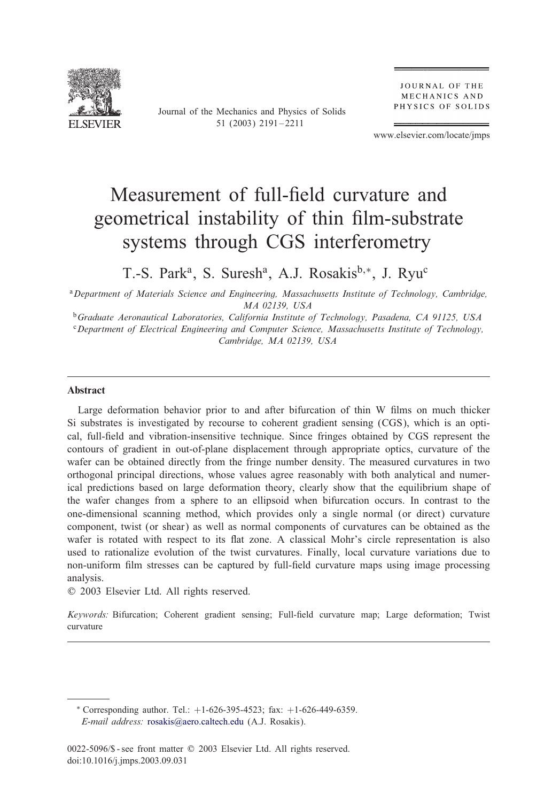

Journal of the Mechanics and Physics of Solids 51 (2003) 2191 – 2211

**JOURNAL OF THE** MECHANICS AND PHYSICS OF SOLIDS

www.elsevier.com/locate/jmps

# Measurement of full-field curvature and geometrical instability of thin film-substrate systems through CGS interferometry

T.-S. Park<sup>a</sup>, S. Suresh<sup>a</sup>, A.J. Rosakis<sup>b,\*</sup>, J. Ryu<sup>c</sup>

<sup>a</sup>*Department of Materials Science and Engineering, Massachusetts Institute of Technology, Cambridge, MA 02139, USA*

<sup>b</sup>*Graduate Aeronautical Laboratories, California Institute of Technology, Pasadena, CA 91125, USA* <sup>c</sup>*Department of Electrical Engineering and Computer Science, Massachusetts Institute of Technology, Cambridge, MA 02139, USA*

#### Abstract

Large deformation behavior prior to and after bifurcation of thin W films on much thicker Si substrates is investigated by recourse to coherent gradient sensing (CGS), which is an optical, full-field and vibration-insensitive technique. Since fringes obtained by CGS represent the contours of gradient in out-of-plane displacement through appropriate optics, curvature of the wafer can be obtained directly from the fringe number density. The measured curvatures in two orthogonal principal directions, whose values agree reasonably with both analytical and numerical predictions based on large deformation theory, clearly show that the equilibrium shape of the wafer changes froma sphere to an ellipsoid when bifurcation occurs. In contrast to the one-dimensional scanning method, which provides only a single normal (or direct) curvature component, twist (or shear) as well as normal components of curvatures can be obtained as the wafer is rotated with respect to its flat zone. A classical Mohr's circle representation is also used to rationalize evolution of the twist curvatures. Finally, local curvature variations due to non-uniform film stresses can be captured by full-field curvature maps using image processing analysis.

? 2003 Elsevier Ltd. All rights reserved.

Keywords: Bifurcation; Coherent gradient sensing; Full-field curvature map; Large deformation; Twist curvature

∗ Corresponding author. Tel.: +1-626-395-4523; fax: +1-626-449-6359. *E-mail address:* [rosakis@aero.caltech.edu](mailto:rosakis@aero.caltech.edu) (A.J. Rosakis).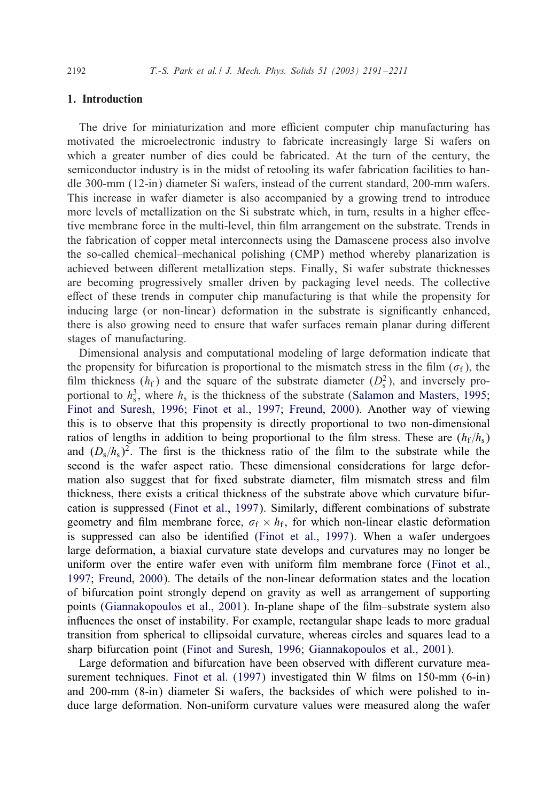#### 1. Introduction

The drive for miniaturization and more efficient computer chip manufacturing has motivated the microelectronic industry to fabricate increasingly large Si wafers on which a greater number of dies could be fabricated. At the turn of the century, the semiconductor industry is in the midst of retooling its wafer fabrication facilities to handle 300-mm (12-in) diameter Si wafers, instead of the current standard, 200-mm wafers. This increase in wafer diameter is also accompanied by a growing trend to introduce more levels of metallization on the Si substrate which, in turn, results in a higher effective membrane force in the multi-level, thin film arrangement on the substrate. Trends in the fabrication of copper metal interconnects using the Damascene process also involve the so-called chemical–mechanical polishing (CMP) method whereby planarization is achieved between different metallization steps. Finally, Si wafer substrate thicknesses are becoming progressively smaller driven by packaging level needs. The collective effect of these trends in computer chip manufacturing is that while the propensity for inducing large (or non-linear) deformation in the substrate is significantly enhanced, there is also growing need to ensure that wafer surfaces remain planar during different stages of manufacturing.

Dimensional analysis and computational modeling of large deformation indicate that the propensity for bifurcation is proportional to the mismatch stress in the film  $(\sigma_f)$ , the film thickness  $(h_f)$  and the square of the substrate diameter  $(D_s^2)$ , and inversely proportional to  $h_s^3$ , where  $h_s$  is the thickness of the substrate [\(Salamon and Masters, 1995;](#page-20-0) [Finot and Suresh, 1996;](#page-19-0) [Finot et al., 1997;](#page-19-0) [Freund, 2000\)](#page-19-0). Another way of viewing this is to observe that this propensity is directly proportional to two non-dimensional ratios of lengths in addition to being proportional to the film stress. These are  $(h_f/h_s)$ and  $(D_s/h_s)^2$ . The first is the thickness ratio of the film to the substrate while the second is the wafer aspect ratio. These dimensional considerations for large deformation also suggest that for fixed substrate diameter, film mismatch stress and film thickness, there exists a critical thickness of the substrate above which curvature bifur-cation is suppressed [\(Finot et al., 1997\)](#page-19-0). Similarly, different combinations of substrate geometry and film membrane force,  $\sigma_f \times h_f$ , for which non-linear elastic deformation is suppressed can also be identified [\(Finot et al., 1997\)](#page-19-0). When a wafer undergoes large deformation, a biaxial curvature state develops and curvatures may no longer be uniform over the entire wafer even with uniform film membrane force [\(Finot et al.,](#page-19-0) [1997;](#page-19-0) [Freund, 2000\)](#page-19-0). The details of the non-linear deformation states and the location of bifurcation point strongly depend on gravity as well as arrangement of supporting points [\(Giannakopoulos et al., 2001\)](#page-19-0). In-plane shape of the film–substrate system also influences the onset of instability. For example, rectangular shape leads to more gradual transition fromspherical to ellipsoidal curvature, whereas circles and squares lead to a sharp bifurcation point [\(Finot and Suresh, 1996;](#page-19-0) [Giannakopoulos et al., 2001\)](#page-19-0).

Large deformation and bifurcation have been observed with different curvature measurement techniques. Finot et al.  $(1997)$  investigated thin W films on 150-mm  $(6\text{-}in)$ and 200-mm (8-in) diameter Si wafers, the backsides of which were polished to induce large deformation. Non-uniform curvature values were measured along the wafer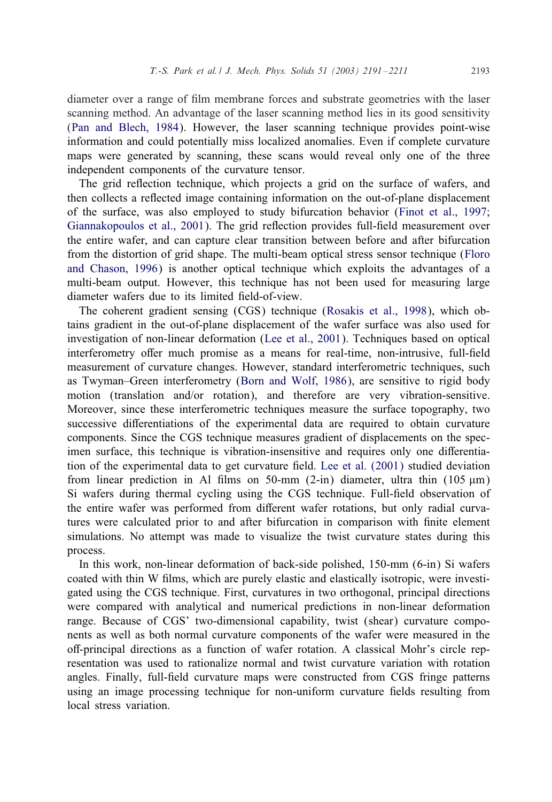diameter over a range of film membrane forces and substrate geometries with the laser scanning method. An advantage of the laser scanning method lies in its good sensitivity [\(Pan and Blech, 1984\)](#page-20-0). However, the laser scanning technique provides point-wise information and could potentially miss localized anomalies. Even if complete curvature maps were generated by scanning, these scans would reveal only one of the three independent components of the curvature tensor.

The grid reflection technique, which projects a grid on the surface of wafers, and then collects a reflected image containing information on the out-of-plane displacement of the surface, was also employed to study bifurcation behavior [\(Finot et al., 1997;](#page-19-0) [Giannakopoulos et al., 2001\)](#page-19-0). The grid reflection provides full-field measurement over the entire wafer, and can capture clear transition between before and after bifurcation fromthe distortion of grid shape. The multi-beamoptical stress sensor technique [\(Floro](#page-19-0) [and Chason, 1996\)](#page-19-0) is another optical technique which exploits the advantages of a multi-beam output. However, this technique has not been used for measuring large diameter wafers due to its limited field-of-view.

The coherent gradient sensing (CGS) technique [\(Rosakis et al., 1998\)](#page-20-0), which obtains gradient in the out-of-plane displacement of the wafer surface was also used for investigation of non-linear deformation [\(Lee et al., 2001\)](#page-20-0). Techniques based on optical interferometry offer much promise as a means for real-time, non-intrusive, full-field measurement of curvature changes. However, standard interferometric techniques, such as Twyman–Green interferometry [\(Born and Wolf, 1986\)](#page-19-0), are sensitive to rigid body motion (translation and/or rotation), and therefore are very vibration-sensitive. Moreover, since these interferometric techniques measure the surface topography, two successive differentiations of the experimental data are required to obtain curvature components. Since the CGS technique measures gradient of displacements on the specimen surface, this technique is vibration-insensitive and requires only one differentiation of the experimental data to get curvature field. Lee et al.  $(2001)$  studied deviation from linear prediction in Al films on 50-mm (2-in) diameter, ultra thin (105  $\mu$ m) Si wafers during thermal cycling using the CGS technique. Full-field observation of the entire wafer was performed from different wafer rotations, but only radial curvatures were calculated prior to and after bifurcation in comparison with finite element simulations. No attempt was made to visualize the twist curvature states during this process.

In this work, non-linear deformation of back-side polished, 150-mm (6-in) Si wafers coated with thin W films, which are purely elastic and elastically isotropic, were investigated using the CGS technique. First, curvatures in two orthogonal, principal directions were compared with analytical and numerical predictions in non-linear deformation range. Because of CGS' two-dimensional capability, twist (shear) curvature components as well as both normal curvature components of the wafer were measured in the oB-principal directions as a function of wafer rotation. A classical Mohr's circle representation was used to rationalize normal and twist curvature variation with rotation angles. Finally, full-field curvature maps were constructed from CGS fringe patterns using an image processing technique for non-uniform curvature fields resulting from local stress variation.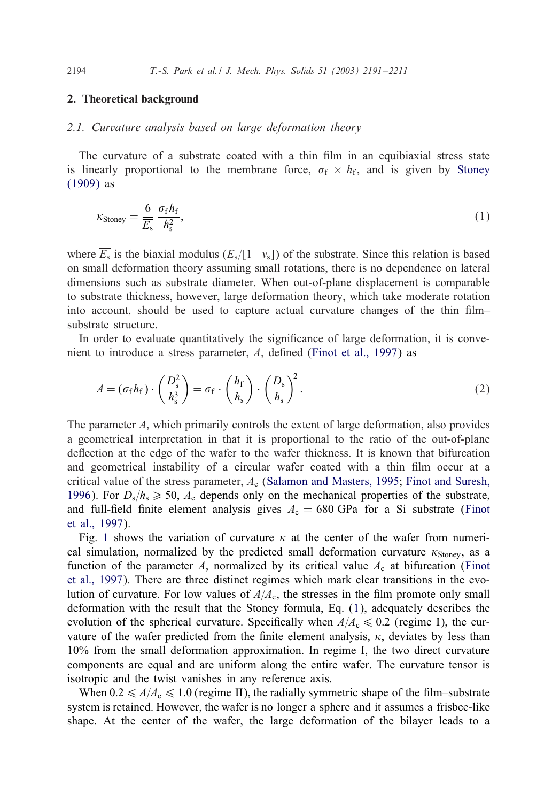#### 2. Theoretical background

#### *2.1. Curvature analysis based on large deformation theory*

The curvature of a substrate coated with a thin film in an equibiaxial stress state is linearly proportional to the membrane force,  $\sigma_f \times h_f$ , and is given by [Stoney](#page-20-0) [\(1909\)](#page-20-0) as

$$
\kappa_{\text{Stoney}} = \frac{6}{\overline{E}_{\text{s}}} \frac{\sigma_{\text{f}} h_{\text{f}}}{h_{\text{s}}^2},\tag{1}
$$

where  $\overline{E_s}$  is the biaxial modulus ( $E_s/[1-v_s]$ ) of the substrate. Since this relation is based on small deformation theory assuming small rotations, there is no dependence on lateral dimensions such as substrate diameter. When out-of-plane displacement is comparable to substrate thickness, however, large deformation theory, which take moderate rotation into account, should be used to capture actual curvature changes of the thin film– substrate structure.

In order to evaluate quantitatively the significance of large deformation, it is convenient to introduce a stress parameter,  $A$ , defined [\(Finot et al., 1997\)](#page-19-0) as

$$
A = (\sigma_f h_f) \cdot \left(\frac{D_s^2}{h_s^3}\right) = \sigma_f \cdot \left(\frac{h_f}{h_s}\right) \cdot \left(\frac{D_s}{h_s}\right)^2. \tag{2}
$$

The parameter A, which primarily controls the extent of large deformation, also provides a geometrical interpretation in that it is proportional to the ratio of the out-of-plane deflection at the edge of the wafer to the wafer thickness. It is known that bifurcation and geometrical instability of a circular wafer coated with a thin film occur at a critical value of the stress parameter,  $A_c$  [\(Salamon and Masters, 1995;](#page-20-0) [Finot and Suresh,](#page-19-0) [1996\)](#page-19-0). For  $D_s/h_s \ge 50$ ,  $A_c$  depends only on the mechanical properties of the substrate, and full-field finite element analysis gives  $A_c = 680$  GPa for a Si substrate [\(Finot](#page-19-0) [et al., 1997\)](#page-19-0).

Fig. [1](#page-4-0) shows the variation of curvature  $\kappa$  at the center of the wafer from numerical simulation, normalized by the predicted small deformation curvature  $\kappa_{\text{Stoney}}$ , as a function of the parameter A, normalized by its critical value  $A_c$  at bifurcation [\(Finot](#page-19-0) [et al., 1997\)](#page-19-0). There are three distinct regimes which mark clear transitions in the evolution of curvature. For low values of  $A/A_c$ , the stresses in the film promote only small deformation with the result that the Stoney formula, Eq. (1), adequately describes the evolution of the spherical curvature. Specifically when  $A/A_c \leq 0.2$  (regime I), the curvature of the wafer predicted from the finite element analysis,  $\kappa$ , deviates by less than 10% from the small deformation approximation. In regime I, the two direct curvature components are equal and are uniform along the entire wafer. The curvature tensor is isotropic and the twist vanishes in any reference axis.

When  $0.2 \leq A/A_c \leq 1.0$  (regime II), the radially symmetric shape of the film–substrate system is retained. However, the wafer is no longer a sphere and it assumes a frisbee-like shape. At the center of the wafer, the large deformation of the bilayer leads to a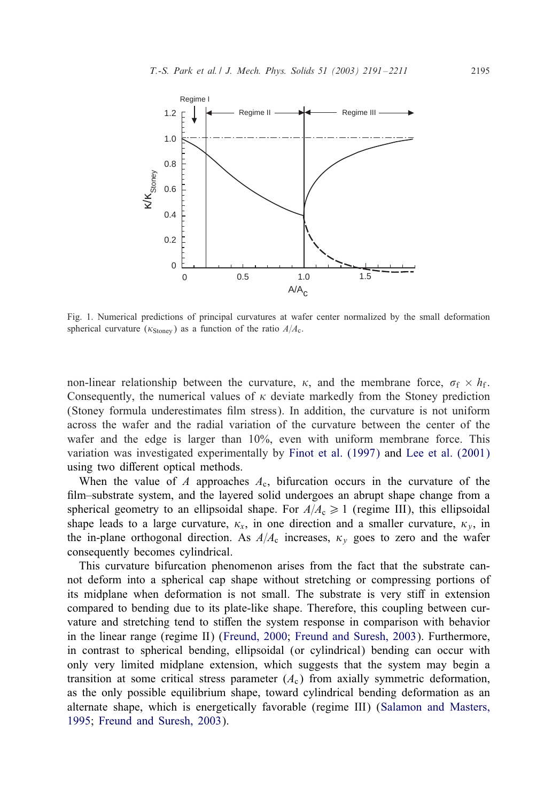<span id="page-4-0"></span>

Fig. 1. Numerical predictions of principal curvatures at wafer center normalized by the small deformation spherical curvature ( $\kappa_{\text{Stoney}}$ ) as a function of the ratio  $A/A_c$ .

non-linear relationship between the curvature,  $\kappa$ , and the membrane force,  $\sigma_f \times h_f$ . Consequently, the numerical values of  $\kappa$  deviate markedly from the Stoney prediction (Stoney formula underestimates film stress). In addition, the curvature is not uniform across the wafer and the radial variation of the curvature between the center of the wafer and the edge is larger than 10%, even with uniform membrane force. This variation was investigated experimentally by [Finot et al. \(1997\)](#page-19-0) and [Lee et al. \(2001\)](#page-20-0) using two different optical methods.

When the value of A approaches  $A_c$ , bifurcation occurs in the curvature of the film–substrate system, and the layered solid undergoes an abrupt shape change from a spherical geometry to an ellipsoidal shape. For  $A/A_c \ge 1$  (regime III), this ellipsoidal shape leads to a large curvature,  $\kappa_x$ , in one direction and a smaller curvature,  $\kappa_y$ , in the in-plane orthogonal direction. As  $A/A_c$  increases,  $\kappa<sub>v</sub>$  goes to zero and the wafer consequently becomes cylindrical.

This curvature bifurcation phenomenon arises from the fact that the substrate cannot deforminto a spherical cap shape without stretching or compressing portions of its midplane when deformation is not small. The substrate is very stiff in extension compared to bending due to its plate-like shape. Therefore, this coupling between curvature and stretching tend to stiffen the system response in comparison with behavior in the linear range (regime II) [\(Freund, 2000;](#page-19-0) [Freund and Suresh, 2003\)](#page-19-0). Furthermore, in contrast to spherical bending, ellipsoidal (or cylindrical) bending can occur with only very limited midplane extension, which suggests that the system may begin a transition at some critical stress parameter  $(A<sub>c</sub>)$  from axially symmetric deformation, as the only possible equilibrium shape, toward cylindrical bending deformation as an alternate shape, which is energetically favorable (regime III) [\(Salamon and Masters,](#page-20-0) [1995;](#page-20-0) [Freund and Suresh, 2003\)](#page-19-0).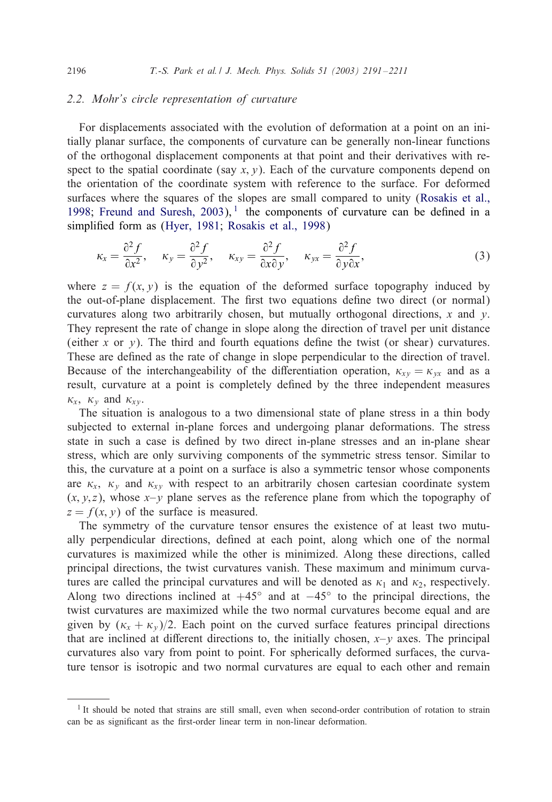# *2.2. Mohr's circle representation of curvature*

For displacements associated with the evolution of deformation at a point on an initially planar surface, the components of curvature can be generally non-linear functions of the orthogonal displacement components at that point and their derivatives with respect to the spatial coordinate (say  $x, y$ ). Each of the curvature components depend on the orientation of the coordinate systemwith reference to the surface. For deformed surfaces where the squares of the slopes are small compared to unity [\(Rosakis et al.,](#page-20-0) [1998;](#page-20-0) Freund and Suresh,  $2003$ ), the components of curvature can be defined in a simplified form as [\(Hyer, 1981;](#page-20-0) [Rosakis et al., 1998\)](#page-20-0)

$$
\kappa_x = \frac{\partial^2 f}{\partial x^2}, \quad \kappa_y = \frac{\partial^2 f}{\partial y^2}, \quad \kappa_{xy} = \frac{\partial^2 f}{\partial x \partial y}, \quad \kappa_{yx} = \frac{\partial^2 f}{\partial y \partial x}, \tag{3}
$$

where  $z = f(x, y)$  is the equation of the deformed surface topography induced by the out-of-plane displacement. The first two equations define two direct (or normal) curvatures along two arbitrarily chosen, but mutually orthogonal directions,  $x$  and  $y$ . They represent the rate of change in slope along the direction of travel per unit distance (either x or y). The third and fourth equations define the twist (or shear) curvatures. These are defined as the rate of change in slope perpendicular to the direction of travel. Because of the interchangeability of the differentiation operation,  $\kappa_{xy} = \kappa_{yx}$  and as a result, curvature at a point is completely defined by the three independent measures  $\kappa_{\rm r}$ ,  $\kappa_{\rm v}$  and  $\kappa_{\rm rv}$ .

The situation is analogous to a two dimensional state of plane stress in a thin body subjected to external in-plane forces and undergoing planar deformations. The stress state in such a case is defined by two direct in-plane stresses and an in-plane shear stress, which are only surviving components of the symmetric stress tensor. Similar to this, the curvature at a point on a surface is also a symmetric tensor whose components are  $\kappa_x$ ,  $\kappa_y$  and  $\kappa_{xy}$  with respect to an arbitrarily chosen cartesian coordinate system  $(x, y, z)$ , whose  $x - y$  plane serves as the reference plane from which the topography of  $z = f(x, y)$  of the surface is measured.

The symmetry of the curvature tensor ensures the existence of at least two mutually perpendicular directions, defined at each point, along which one of the normal curvatures is maximized while the other is minimized. Along these directions, called principal directions, the twist curvatures vanish. These maximum and minimum curvatures are called the principal curvatures and will be denoted as  $\kappa_1$  and  $\kappa_2$ , respectively. Along two directions inclined at  $+45°$  and at  $-45°$  to the principal directions, the twist curvatures are maximized while the two normal curvatures become equal and are given by  $(\kappa_x + \kappa_y)/2$ . Each point on the curved surface features principal directions that are inclined at different directions to, the initially chosen,  $x-y$  axes. The principal curvatures also vary from point to point. For spherically deformed surfaces, the curvature tensor is isotropic and two normal curvatures are equal to each other and remain

<span id="page-5-0"></span>

<sup>&</sup>lt;sup>1</sup> It should be noted that strains are still small, even when second-order contribution of rotation to strain can be as significant as the first-order linear term in non-linear deformation.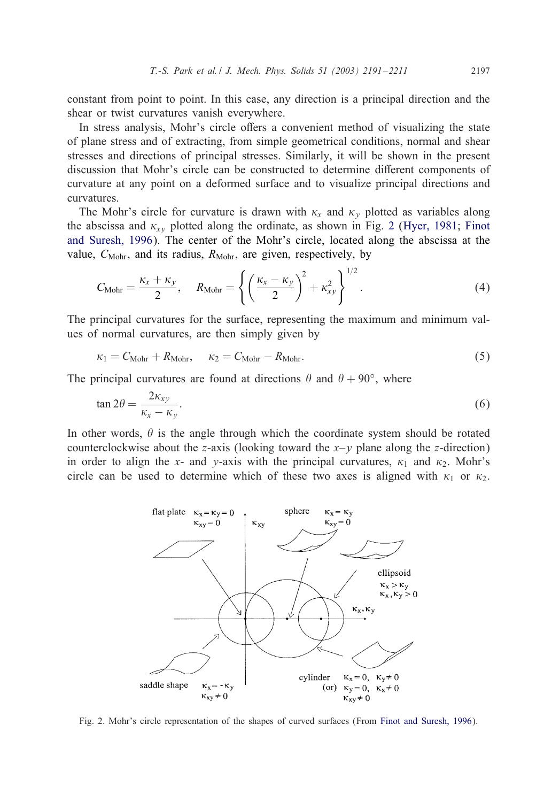<span id="page-6-0"></span>constant from point to point. In this case, any direction is a principal direction and the shear or twist curvatures vanish everywhere.

In stress analysis, Mohr's circle offers a convenient method of visualizing the state of plane stress and of extracting, from simple geometrical conditions, normal and shear stresses and directions of principal stresses. Similarly, it will be shown in the present discussion that Mohr's circle can be constructed to determine different components of curvature at any point on a deformed surface and to visualize principal directions and curvatures.

The Mohr's circle for curvature is drawn with  $\kappa_x$  and  $\kappa_y$  plotted as variables along the abscissa and  $\kappa_{xy}$  plotted along the ordinate, as shown in Fig. 2 [\(Hyer, 1981;](#page-20-0) [Finot](#page-19-0) [and Suresh, 1996\)](#page-19-0). The center of the Mohr's circle, located along the abscissa at the value,  $C_{\text{Mohr}}$ , and its radius,  $R_{\text{Mohr}}$ , are given, respectively, by

$$
C_{\text{Mohr}} = \frac{\kappa_x + \kappa_y}{2}, \quad R_{\text{Mohr}} = \left\{ \left( \frac{\kappa_x - \kappa_y}{2} \right)^2 + \kappa_{xy}^2 \right\}^{1/2}.
$$
 (4)

The principal curvatures for the surface, representing the maximum and minimum values of normal curvatures, are then simply given by

$$
\kappa_1 = C_{\text{Mohr}} + R_{\text{Mohr}}, \quad \kappa_2 = C_{\text{Mohr}} - R_{\text{Mohr}}.
$$
\n(5)

The principal curvatures are found at directions  $\theta$  and  $\theta + 90°$ , where

$$
\tan 2\theta = \frac{2\kappa_{xy}}{\kappa_x - \kappa_y}.\tag{6}
$$

In other words,  $\theta$  is the angle through which the coordinate system should be rotated counterclockwise about the z-axis (looking toward the  $x-y$  plane along the z-direction) in order to align the x- and y-axis with the principal curvatures,  $\kappa_1$  and  $\kappa_2$ . Mohr's circle can be used to determine which of these two axes is aligned with  $\kappa_1$  or  $\kappa_2$ .



Fig. 2. Mohr's circle representation of the shapes of curved surfaces (From [Finot and Suresh, 1996\)](#page-19-0).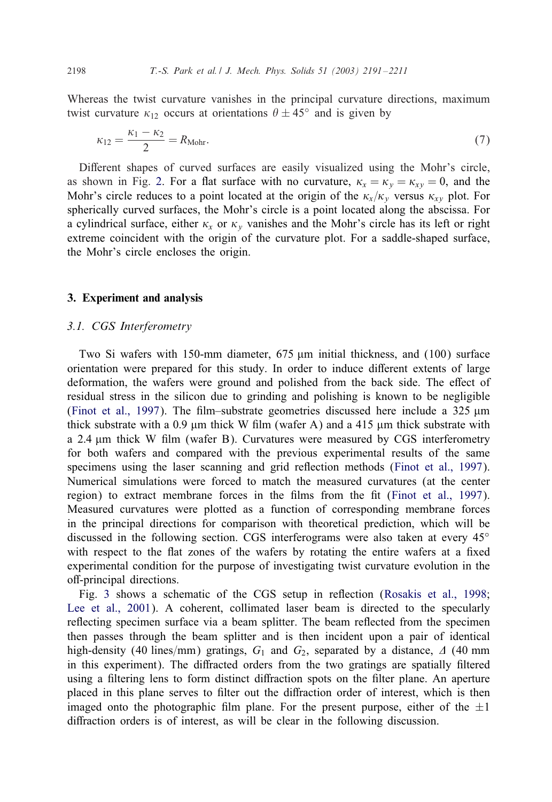Whereas the twist curvature vanishes in the principal curvature directions, maximum twist curvature  $\kappa_{12}$  occurs at orientations  $\theta \pm 45^{\circ}$  and is given by

$$
\kappa_{12} = \frac{\kappa_1 - \kappa_2}{2} = R_{\text{Mohr}}.\tag{7}
$$

Different shapes of curved surfaces are easily visualized using the Mohr's circle, as shown in Fig. [2.](#page-6-0) For a flat surface with no curvature,  $\kappa_x = \kappa_y = \kappa_{xy} = 0$ , and the Mohr's circle reduces to a point located at the origin of the  $\kappa_x/\kappa_y$  versus  $\kappa_{xy}$  plot. For spherically curved surfaces, the Mohr's circle is a point located along the abscissa. For a cylindrical surface, either  $\kappa_x$  or  $\kappa_y$  vanishes and the Mohr's circle has its left or right extreme coincident with the origin of the curvature plot. For a saddle-shaped surface, the Mohr's circle encloses the origin.

#### 3. Experiment and analysis

#### *3.1. CGS Interferometry*

Two Si wafers with 150-mm diameter,  $675 \mu m$  initial thickness, and  $(100)$  surface orientation were prepared for this study. In order to induce different extents of large deformation, the wafers were ground and polished from the back side. The effect of residual stress in the silicon due to grinding and polishing is known to be negligible [\(Finot et al., 1997\)](#page-19-0). The film–substrate geometries discussed here include a  $325 \mu m$ thick substrate with a 0.9  $\mu$ m thick W film (wafer A) and a 415  $\mu$ m thick substrate with a 2.4  $\mu$ m thick W film (wafer B). Curvatures were measured by CGS interferometry for both wafers and compared with the previous experimental results of the same specimens using the laser scanning and grid reflection methods [\(Finot et al., 1997\)](#page-19-0). Numerical simulations were forced to match the measured curvatures (at the center region) to extract membrane forces in the films from the fit [\(Finot et al., 1997\)](#page-19-0). Measured curvatures were plotted as a function of corresponding membrane forces in the principal directions for comparison with theoretical prediction, which will be discussed in the following section. CGS interferograms were also taken at every 45◦ with respect to the flat zones of the wafers by rotating the entire wafers at a fixed experimental condition for the purpose of investigating twist curvature evolution in the off-principal directions.

Fig. [3](#page-8-0) shows a schematic of the CGS setup in reflection [\(Rosakis et al., 1998;](#page-20-0) [Lee et al., 2001\)](#page-20-0). A coherent, collimated laser beam is directed to the specularly reflecting specimen surface via a beam splitter. The beam reflected from the specimen then passes through the beamsplitter and is then incident upon a pair of identical high-density (40 lines/mm) gratings,  $G_1$  and  $G_2$ , separated by a distance,  $\Delta$  (40 mm) in this experiment). The diffracted orders from the two gratings are spatially filtered using a filtering lens to form distinct diffraction spots on the filter plane. An aperture placed in this plane serves to filter out the diffraction order of interest, which is then imaged onto the photographic film plane. For the present purpose, either of the  $\pm 1$ diffraction orders is of interest, as will be clear in the following discussion.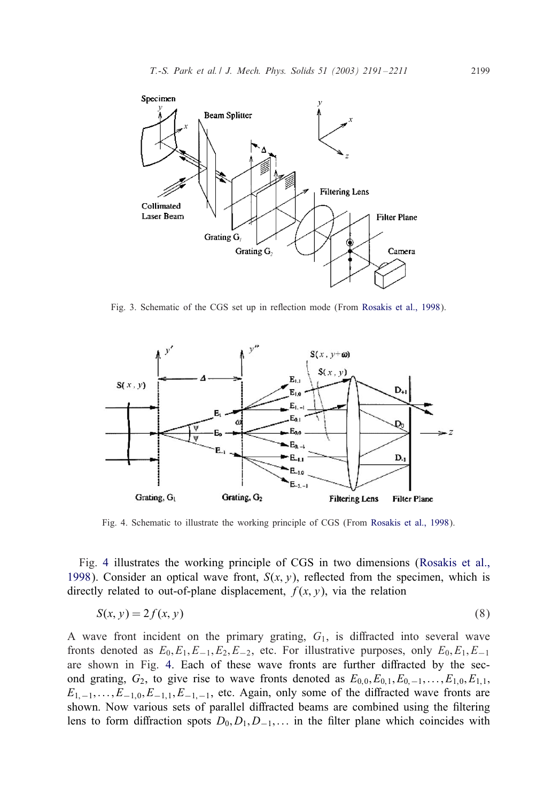<span id="page-8-0"></span>

Fig. 3. Schematic of the CGS set up in reflection mode (From [Rosakis et al., 1998\)](#page-20-0).



Fig. 4. Schematic to illustrate the working principle of CGS (From [Rosakis et al., 1998\)](#page-20-0).

Fig. 4 illustrates the working principle of CGS in two dimensions [\(Rosakis et al.,](#page-20-0) [1998\)](#page-20-0). Consider an optical wave front,  $S(x, y)$ , reflected from the specimen, which is directly related to out-of-plane displacement,  $f(x, y)$ , via the relation

$$
S(x, y) = 2f(x, y) \tag{8}
$$

A wave front incident on the primary grating,  $G_1$ , is diffracted into several wave fronts denoted as  $E_0, E_1, E_{-1}, E_2, E_{-2}$ , etc. For illustrative purposes, only  $E_0, E_1, E_{-1}$ are shown in Fig. 4. Each of these wave fronts are further diffracted by the second grating,  $G_2$ , to give rise to wave fronts denoted as  $E_{0,0}, E_{0,1}, E_{0,-1},\ldots,E_{1,0}, E_{1,1}$ ;  $E_{1,-1},\ldots,E_{-1,0},E_{-1,1},E_{-1,-1}$ , etc. Again, only some of the diffracted wave fronts are shown. Now various sets of parallel diffracted beams are combined using the filtering lens to form diffraction spots  $D_0, D_1, D_{-1}, \ldots$  in the filter plane which coincides with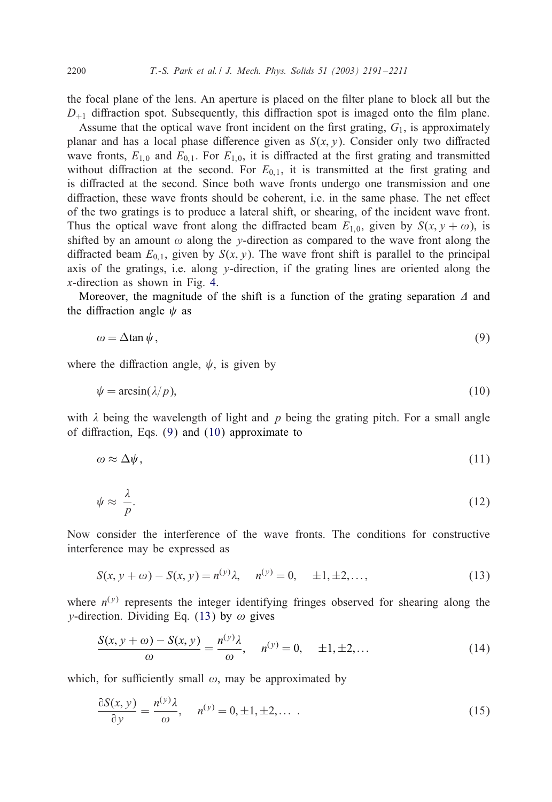the focal plane of the lens. An aperture is placed on the filter plane to block all but the  $D_{+1}$  diffraction spot. Subsequently, this diffraction spot is imaged onto the film plane.

Assume that the optical wave front incident on the first grating,  $G_1$ , is approximately planar and has a local phase difference given as  $S(x, y)$ . Consider only two diffracted wave fronts,  $E_{1,0}$  and  $E_{0,1}$ . For  $E_{1,0}$ , it is diffracted at the first grating and transmitted without diffraction at the second. For  $E_{0,1}$ , it is transmitted at the first grating and is diffracted at the second. Since both wave fronts undergo one transmission and one diffraction, these wave fronts should be coherent, i.e. in the same phase. The net effect of the two gratings is to produce a lateral shift, or shearing, of the incident wave front. Thus the optical wave front along the diffracted beam  $E_{1,0}$ , given by  $S(x, y + \omega)$ , is shifted by an amount  $\omega$  along the y-direction as compared to the wave front along the diffracted beam  $E_{0,1}$ , given by  $S(x, y)$ . The wave front shift is parallel to the principal axis of the gratings, i.e. along  $y$ -direction, if the grating lines are oriented along the x-direction as shown in Fig. [4.](#page-8-0)

Moreover, the magnitude of the shift is a function of the grating separation  $\Delta$  and the diffraction angle  $\psi$  as

$$
\omega = \Delta \tan \psi, \tag{9}
$$

where the diffraction angle,  $\psi$ , is given by

$$
\psi = \arcsin(\lambda/p),\tag{10}
$$

with  $\lambda$  being the wavelength of light and p being the grating pitch. For a small angle of diffraction, Eqs.  $(9)$  and  $(10)$  approximate to

$$
\omega \approx \Delta \psi, \tag{11}
$$

$$
\psi \approx \frac{\lambda}{p}.\tag{12}
$$

Now consider the interference of the wave fronts. The conditions for constructive interference may be expressed as

$$
S(x, y + \omega) - S(x, y) = n^{(y)}\lambda, \quad n^{(y)} = 0, \quad \pm 1, \pm 2, \dots,
$$
 (13)

where  $n^{(y)}$  represents the integer identifying fringes observed for shearing along the *v*-direction. Dividing Eq. (13) by  $\omega$  gives

$$
\frac{S(x, y + \omega) - S(x, y)}{\omega} = \frac{n^{(y)}\lambda}{\omega}, \quad n^{(y)} = 0, \quad \pm 1, \pm 2, ... \tag{14}
$$

which, for sufficiently small  $\omega$ , may be approximated by

$$
\frac{\partial S(x, y)}{\partial y} = \frac{n^{(y)}\lambda}{\omega}, \quad n^{(y)} = 0, \pm 1, \pm 2, \dots
$$
 (15)

<span id="page-9-0"></span>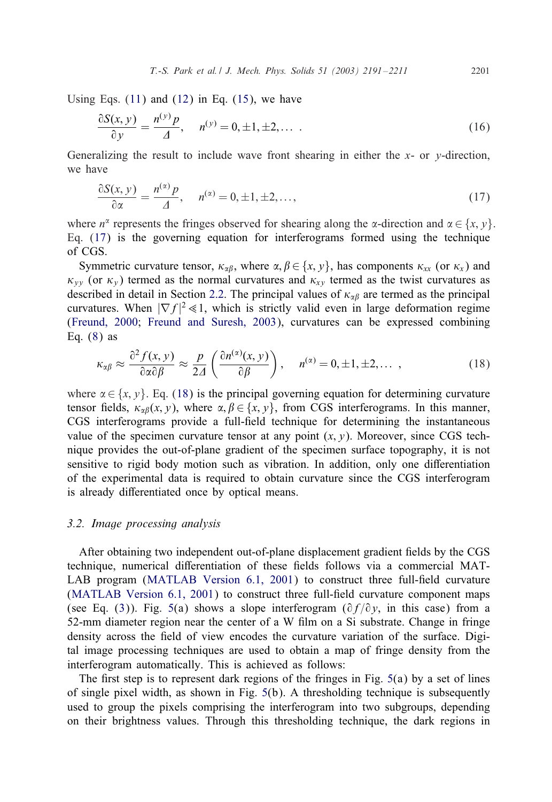<span id="page-10-0"></span>Using Eqs.  $(11)$  and  $(12)$  in Eq.  $(15)$ , we have

$$
\frac{\partial S(x, y)}{\partial y} = \frac{n^{(y)} p}{\Delta}, \quad n^{(y)} = 0, \pm 1, \pm 2, \dots \tag{16}
$$

Generalizing the result to include wave front shearing in either the  $x$ - or  $y$ -direction, we have

$$
\frac{\partial S(x, y)}{\partial \alpha} = \frac{n^{(\alpha)} p}{\Delta}, \quad n^{(\alpha)} = 0, \pm 1, \pm 2, \dots,
$$
\n(17)

where  $n^{\alpha}$  represents the fringes observed for shearing along the  $\alpha$ -direction and  $\alpha \in \{x, y\}$ . Eq. (17) is the governing equation for interferograms formed using the technique of CGS.

Symmetric curvature tensor,  $\kappa_{\alpha\beta}$ , where  $\alpha, \beta \in \{x, y\}$ , has components  $\kappa_{xx}$  (or  $\kappa_x$ ) and  $\kappa_{yy}$  (or  $\kappa_y$ ) termed as the normal curvatures and  $\kappa_{xy}$  termed as the twist curvatures as described in detail in Section [2.2.](#page-5-0) The principal values of  $\kappa_{\alpha\beta}$  are termed as the principal curvatures. When  $|\nabla f|^2 \ll 1$ , which is strictly valid even in large deformation regime [\(Freund, 2000;](#page-19-0) [Freund and Suresh, 2003\)](#page-19-0), curvatures can be expressed combining Eq.  $(8)$  as

$$
\kappa_{\alpha\beta} \approx \frac{\partial^2 f(x, y)}{\partial \alpha \partial \beta} \approx \frac{p}{2\Delta} \left( \frac{\partial n^{(\alpha)}(x, y)}{\partial \beta} \right), \quad n^{(\alpha)} = 0, \pm 1, \pm 2, \dots \tag{18}
$$

where  $\alpha \in \{x, y\}$ . Eq. (18) is the principal governing equation for determining curvature tensor fields,  $\kappa_{\alpha\beta}(x, y)$ , where  $\alpha, \beta \in \{x, y\}$ , from CGS interferograms. In this manner, CGS interferograms provide a full-field technique for determining the instantaneous value of the specimen curvature tensor at any point  $(x, y)$ . Moreover, since CGS technique provides the out-of-plane gradient of the specimen surface topography, it is not sensitive to rigid body motion such as vibration. In addition, only one differentiation of the experimental data is required to obtain curvature since the CGS interferogram is already differentiated once by optical means.

#### *3.2. Image processing analysis*

After obtaining two independent out-of-plane displacement gradient fields by the CGS technique, numerical differentiation of these fields follows via a commercial MAT-LAB program (MATLAB Version  $6.1$ ,  $2001$ ) to construct three full-field curvature  $(MATLAB$  Version  $6.1, 2001$ ) to construct three full-field curvature component maps (see Eq. [\(3\)](#page-5-0)). Fig. [5\(](#page-11-0)a) shows a slope interferogram ( $\partial f/\partial y$ , in this case) from a 52-mm diameter region near the center of a W film on a Si substrate. Change in fringe density across the field of view encodes the curvature variation of the surface. Digital image processing techniques are used to obtain a map of fringe density from the interferogram automatically. This is achieved as follows:

The first step is to represent dark regions of the fringes in Fig.  $5(a)$  $5(a)$  by a set of lines of single pixel width, as shown in Fig. [5\(](#page-11-0)b). A thresholding technique is subsequently used to group the pixels comprising the interferogram into two subgroups, depending on their brightness values. Through this thresholding technique, the dark regions in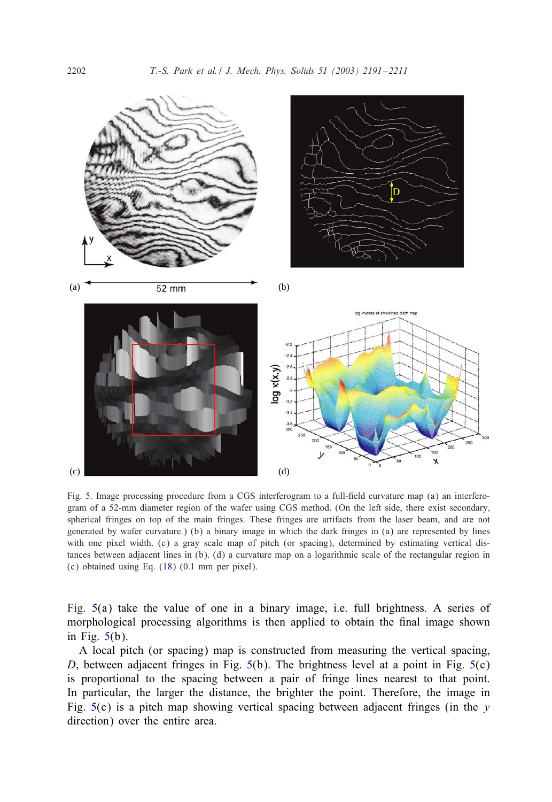<span id="page-11-0"></span>

Fig. 5. Image processing procedure from a CGS interferogram to a full-field curvature map (a) an interferogram of a 52-mm diameter region of the wafer using CGS method. (On the left side, there exist secondary, spherical fringes on top of the main fringes. These fringes are artifacts from the laser beam, and are not generated by wafer curvature.) (b) a binary image in which the dark fringes in (a) are represented by lines with one pixel width. (c) a gray scale map of pitch (or spacing), determined by estimating vertical distances between adjacent lines in (b). (d) a curvature map on a logarithmic scale of the rectangular region in  $(c)$  obtained using Eq.  $(18)$   $(0.1$  mm per pixel).

Fig. 5(a) take the value of one in a binary image, i.e. full brightness. A series of morphological processing algorithms is then applied to obtain the final image shown in Fig. 5(b).

A local pitch (or spacing) map is constructed from measuring the vertical spacing, D, between adjacent fringes in Fig.  $5(b)$ . The brightness level at a point in Fig.  $5(c)$ is proportional to the spacing between a pair of fringe lines nearest to that point. In particular, the larger the distance, the brighter the point. Therefore, the image in Fig.  $5(c)$  is a pitch map showing vertical spacing between adjacent fringes (in the y direction) over the entire area.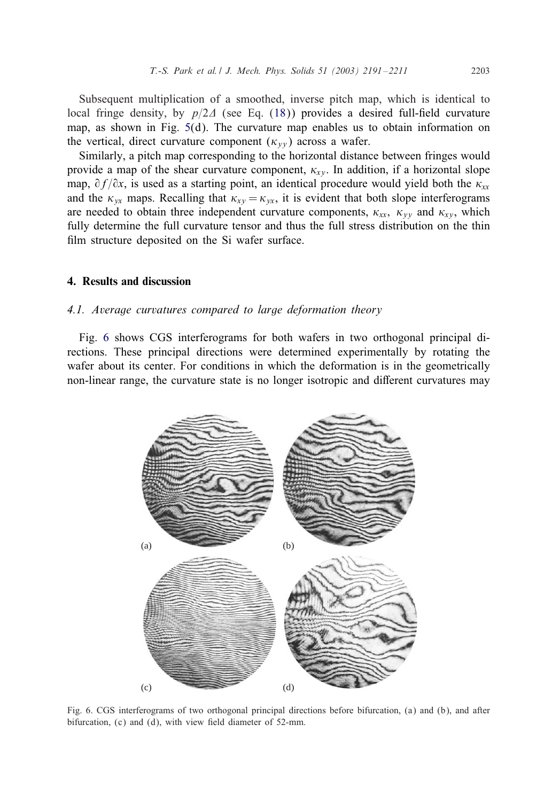<span id="page-12-0"></span>Subsequent multiplication of a smoothed, inverse pitch map, which is identical to local fringe density, by  $p/2\Delta$  (see Eq. [\(18\)](#page-10-0)) provides a desired full-field curvature map, as shown in Fig. [5\(](#page-11-0)d). The curvature map enables us to obtain information on the vertical, direct curvature component  $(\kappa_{\nu\nu})$  across a wafer.

Similarly, a pitch map corresponding to the horizontal distance between fringes would provide a map of the shear curvature component,  $\kappa_{xy}$ . In addition, if a horizontal slope map,  $\partial f/\partial x$ , is used as a starting point, an identical procedure would yield both the  $\kappa_{xx}$ and the  $\kappa_{yx}$  maps. Recalling that  $\kappa_{xy} = \kappa_{yx}$ , it is evident that both slope interferograms are needed to obtain three independent curvature components,  $\kappa_{xx}$ ,  $\kappa_{yy}$  and  $\kappa_{xy}$ , which fully determine the full curvature tensor and thus the full stress distribution on the thin film structure deposited on the Si wafer surface.

# 4. Results and discussion

#### *4.1. Average curvatures compared to large deformation theory*

Fig. 6 shows CGS interferograms for both wafers in two orthogonal principal directions. These principal directions were determined experimentally by rotating the wafer about its center. For conditions in which the deformation is in the geometrically non-linear range, the curvature state is no longer isotropic and different curvatures may



Fig. 6. CGS interferograms of two orthogonal principal directions before bifurcation, (a) and (b), and after bifurcation,  $(c)$  and  $(d)$ , with view field diameter of 52-mm.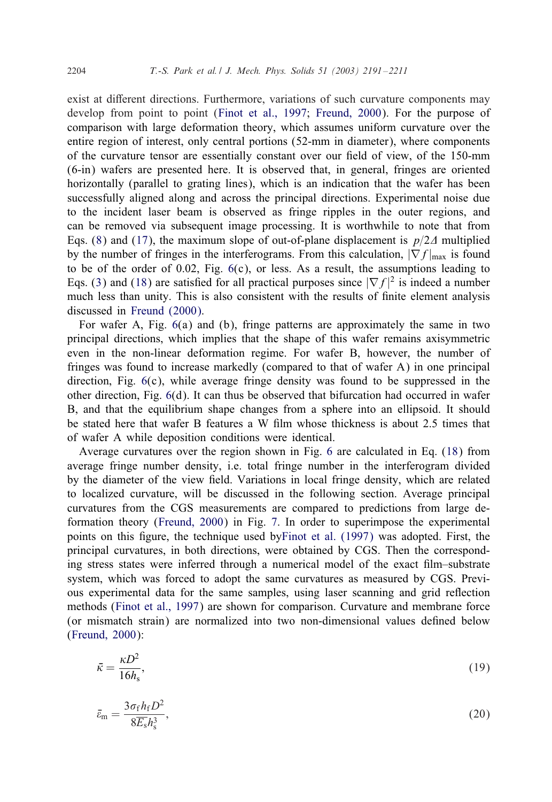exist at different directions. Furthermore, variations of such curvature components may develop from point to point [\(Finot et al., 1997;](#page-19-0) [Freund, 2000\)](#page-19-0). For the purpose of comparison with large deformation theory, which assumes uniform curvature over the entire region of interest, only central portions (52-mm in diameter), where components of the curvature tensor are essentially constant over our field of view, of the 150-mm (6-in) wafers are presented here. It is observed that, in general, fringes are oriented horizontally (parallel to grating lines), which is an indication that the wafer has been successfully aligned along and across the principal directions. Experimental noise due to the incident laser beamis observed as fringe ripples in the outer regions, and can be removed via subsequent image processing. It is worthwhile to note that from Eqs. [\(8\)](#page-8-0) and [\(17\)](#page-10-0), the maximum slope of out-of-plane displacement is  $p/2\Delta$  multiplied by the number of fringes in the interferograms. From this calculation,  $|\nabla f|_{\text{max}}$  is found to be of the order of  $0.02$ , Fig.  $6(c)$  $6(c)$ , or less. As a result, the assumptions leading to Eqs. [\(3\)](#page-5-0) and [\(18\)](#page-10-0) are satisfied for all practical purposes since  $|\nabla f|^2$  is indeed a number much less than unity. This is also consistent with the results of finite element analysis discussed in [Freund \(2000\).](#page-19-0)

For wafer A, Fig. [6\(](#page-12-0)a) and (b), fringe patterns are approximately the same in two principal directions, which implies that the shape of this wafer remains axisymmetric even in the non-linear deformation regime. For wafer B, however, the number of fringes was found to increase markedly (compared to that of wafer A) in one principal direction, Fig. [6\(](#page-12-0)c), while average fringe density was found to be suppressed in the other direction, Fig. [6\(](#page-12-0)d). It can thus be observed that bifurcation had occurred in wafer B, and that the equilibriumshape changes froma sphere into an ellipsoid. It should be stated here that wafer B features a W film whose thickness is about 2.5 times that of wafer A while deposition conditions were identical.

Average curvatures over the region shown in Fig. [6](#page-12-0) are calculated in Eq. [\(18\)](#page-10-0) from average fringe number density, i.e. total fringe number in the interferogram divided by the diameter of the view field. Variations in local fringe density, which are related to localized curvature, will be discussed in the following section. Average principal curvatures from the CGS measurements are compared to predictions from large deformation theory [\(Freund, 2000\)](#page-19-0) in Fig. [7.](#page-14-0) In order to superimpose the experimental points on this figure, the technique used b[yFinot et al. \(1997\)](#page-19-0) was adopted. First, the principal curvatures, in both directions, were obtained by CGS. Then the corresponding stress states were inferred through a numerical model of the exact film–substrate system, which was forced to adopt the same curvatures as measured by CGS. Previous experimental data for the same samples, using laser scanning and grid reflection methods [\(Finot et al., 1997\)](#page-19-0) are shown for comparison. Curvature and membrane force (or mismatch strain) are normalized into two non-dimensional values defined below [\(Freund, 2000\)](#page-19-0):

$$
\bar{\kappa} = \frac{\kappa D^2}{16h_s},\tag{19}
$$

$$
\bar{e}_{\rm m} = \frac{3\sigma_{\rm f}h_{\rm f}D^2}{8\overline{E}_{\rm s}h_{\rm s}^3},\tag{20}
$$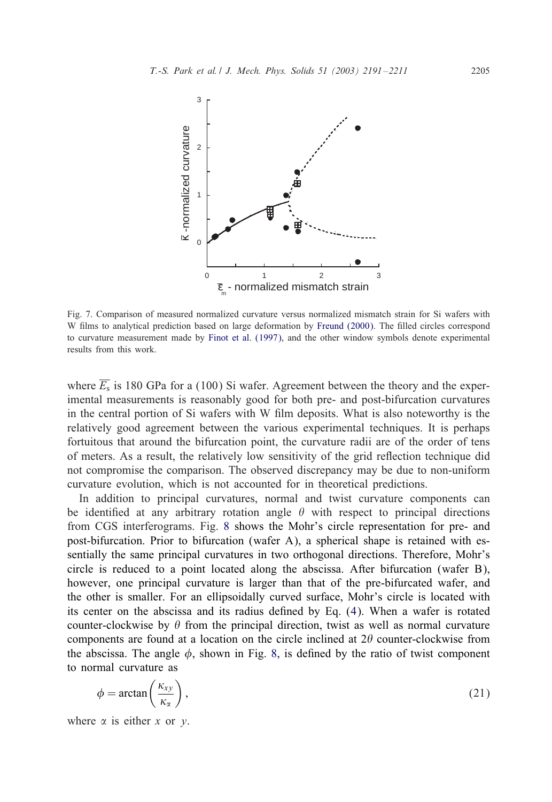<span id="page-14-0"></span>

Fig. 7. Comparison of measured normalized curvature versus normalized mismatch strain for Si wafers with W films to analytical prediction based on large deformation by [Freund \(2000\).](#page-19-0) The filled circles correspond to curvature measurement made by [Finot et al. \(1997\),](#page-19-0) and the other window symbols denote experimental results from this work.

where  $\overline{E_s}$  is 180 GPa for a (100) Si wafer. Agreement between the theory and the experimental measurements is reasonably good for both pre- and post-bifurcation curvatures in the central portion of Si wafers with W film deposits. What is also noteworthy is the relatively good agreement between the various experimental techniques. It is perhaps fortuitous that around the bifurcation point, the curvature radii are of the order of tens of meters. As a result, the relatively low sensitivity of the grid reflection technique did not compromise the comparison. The observed discrepancy may be due to non-uniform curvature evolution, which is not accounted for in theoretical predictions.

In addition to principal curvatures, normal and twist curvature components can be identified at any arbitrary rotation angle  $\theta$  with respect to principal directions fromCGS interferograms. Fig. [8](#page-15-0) shows the Mohr's circle representation for pre- and post-bifurcation. Prior to bifurcation (wafer A), a spherical shape is retained with essentially the same principal curvatures in two orthogonal directions. Therefore, Mohr's circle is reduced to a point located along the abscissa. After bifurcation (wafer B), however, one principal curvature is larger than that of the pre-bifurcated wafer, and the other is smaller. For an ellipsoidally curved surface, Mohr's circle is located with its center on the abscissa and its radius defined by Eq.  $(4)$ . When a wafer is rotated counter-clockwise by  $\theta$  from the principal direction, twist as well as normal curvature components are found at a location on the circle inclined at  $2\theta$  counter-clockwise from the abscissa. The angle  $\phi$ , shown in Fig. [8,](#page-15-0) is defined by the ratio of twist component to normal curvature as

$$
\phi = \arctan\left(\frac{\kappa_{xy}}{\kappa_{\alpha}}\right),\tag{21}
$$

where  $\alpha$  is either x or y.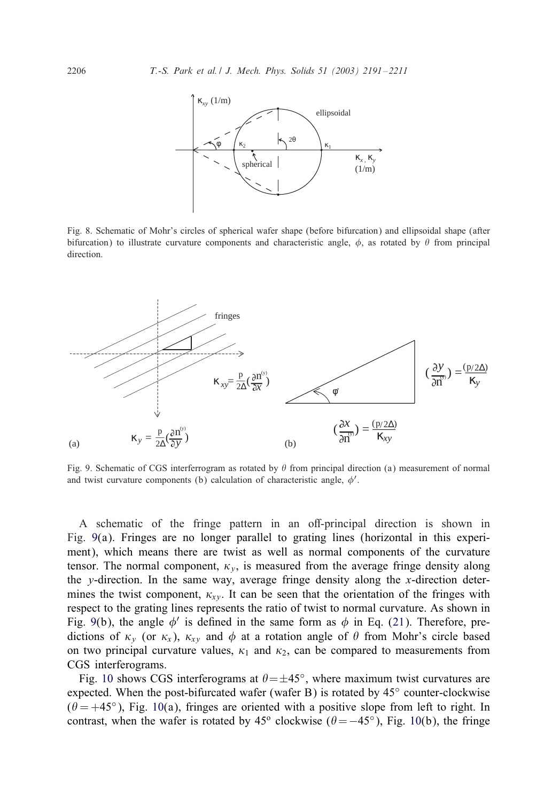

Fig. 8. Schematic of Mohr's circles of spherical wafer shape (before bifurcation) and ellipsoidal shape (after bifurcation) to illustrate curvature components and characteristic angle,  $\phi$ , as rotated by  $\theta$  from principal direction.



Fig. 9. Schematic of CGS interferrogram as rotated by  $\theta$  from principal direction (a) measurement of normal and twist curvature components (b) calculation of characteristic angle,  $\phi'$ .

A schematic of the fringe pattern in an off-principal direction is shown in Fig. 9(a). Fringes are no longer parallel to grating lines (horizontal in this experiment), which means there are twist as well as normal components of the curvature tensor. The normal component,  $\kappa_v$ , is measured from the average fringe density along the y-direction. In the same way, average fringe density along the x-direction determines the twist component,  $\kappa_{xy}$ . It can be seen that the orientation of the fringes with respect to the grating lines represents the ratio of twist to normal curvature. As shown in Fig. 9(b), the angle  $\phi'$  is defined in the same form as  $\phi$  in Eq. [\(21\)](#page-14-0). Therefore, predictions of  $\kappa_{\nu}$  (or  $\kappa_{x}$ ),  $\kappa_{x\nu}$  and  $\phi$  at a rotation angle of  $\theta$  from Mohr's circle based on two principal curvature values,  $\kappa_1$  and  $\kappa_2$ , can be compared to measurements from CGS interferograms.

Fig. [10](#page-16-0) shows CGS interferograms at  $\theta = \pm 45^\circ$ , where maximum twist curvatures are expected. When the post-bifurcated wafer (wafer B) is rotated by  $45^\circ$  counter-clockwise  $(\theta = +45^{\circ})$ , Fig. [10\(](#page-16-0)a), fringes are oriented with a positive slope from left to right. In contrast, when the wafer is rotated by 45<sup>o</sup> clockwise ( $\theta = -45^\circ$ ), Fig. [10\(](#page-16-0)b), the fringe

<span id="page-15-0"></span>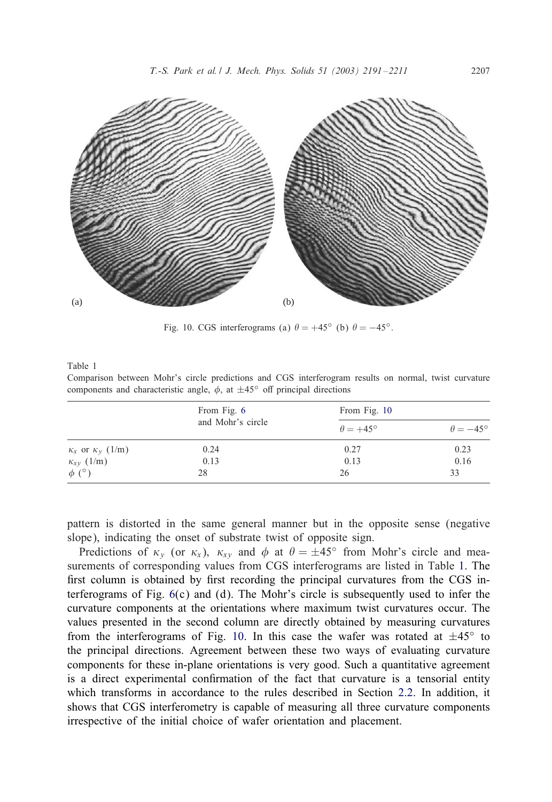<span id="page-16-0"></span>

Fig. 10. CGS interferograms (a)  $\theta = +45^{\circ}$  (b)  $\theta = -45^{\circ}$ .

Table 1

Comparison between Mohr's circle predictions and CGS interferogram results on normal, twist curvature components and characteristic angle,  $\phi$ , at  $\pm 45^\circ$  off principal directions

|                                | From Fig. 6<br>and Mohr's circle | From Fig. 10           |                        |
|--------------------------------|----------------------------------|------------------------|------------------------|
|                                |                                  | $\theta = +45^{\circ}$ | $\theta = -45^{\circ}$ |
| $\kappa_x$ or $\kappa_y$ (1/m) | 0.24                             | 0.27                   | 0.23                   |
| $\kappa_{xy}$ (1/m)            | 0.13                             | 0.13                   | 0.16                   |
| $\phi$ (°)                     | 28                               | 26                     | 33                     |

pattern is distorted in the same general manner but in the opposite sense (negative slope), indicating the onset of substrate twist of opposite sign.

Predictions of  $\kappa_v$  (or  $\kappa_x$ ),  $\kappa_{xy}$  and  $\phi$  at  $\theta = \pm 45^\circ$  from Mohr's circle and measurements of corresponding values from CGS interferograms are listed in Table 1. The first column is obtained by first recording the principal curvatures from the CGS interferograms of Fig.  $6(c)$  $6(c)$  and (d). The Mohr's circle is subsequently used to infer the curvature components at the orientations where maximum twist curvatures occur. The values presented in the second column are directly obtained by measuring curvatures from the interferograms of Fig. 10. In this case the wafer was rotated at  $\pm 45^\circ$  to the principal directions. Agreement between these two ways of evaluating curvature components for these in-plane orientations is very good. Such a quantitative agreement is a direct experimental confirmation of the fact that curvature is a tensorial entity which transforms in accordance to the rules described in Section [2.2.](#page-5-0) In addition, it shows that CGS interferometry is capable of measuring all three curvature components irrespective of the initial choice of wafer orientation and placement.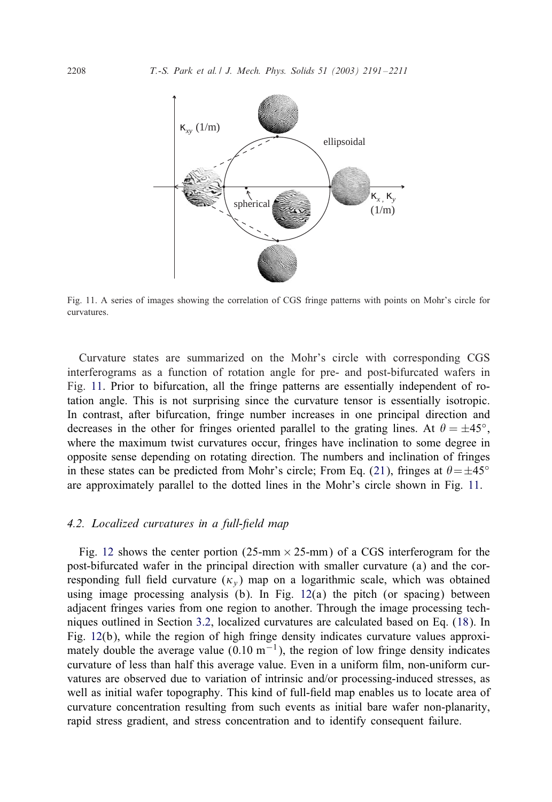

Fig. 11. A series of images showing the correlation of CGS fringe patterns with points on Mohr's circle for curvatures.

Curvature states are summarized on the Mohr's circle with corresponding CGS interferograms as a function of rotation angle for pre- and post-bifurcated wafers in Fig. 11. Prior to bifurcation, all the fringe patterns are essentially independent of rotation angle. This is not surprising since the curvature tensor is essentially isotropic. In contrast, after bifurcation, fringe number increases in one principal direction and decreases in the other for fringes oriented parallel to the grating lines. At  $\theta = \pm 45^{\circ}$ , where the maximum twist curvatures occur, fringes have inclination to some degree in opposite sense depending on rotating direction. The numbers and inclination of fringes in these states can be predicted from Mohr's circle; From Eq. [\(21\)](#page-14-0), fringes at  $\theta = \pm 45^{\circ}$ are approximately parallel to the dotted lines in the Mohr's circle shown in Fig. 11.

## *4.2. Localized curvatures in a full-6eld map*

Fig. [12](#page-18-0) shows the center portion (25-mm  $\times$  25-mm) of a CGS interferogram for the post-bifurcated wafer in the principal direction with smaller curvature (a) and the corresponding full field curvature  $(\kappa_v)$  map on a logarithmic scale, which was obtained using image processing analysis (b). In Fig.  $12(a)$  $12(a)$  the pitch (or spacing) between adjacent fringes varies fromone region to another. Through the image processing techniques outlined in Section [3.2,](#page-10-0) localized curvatures are calculated based on Eq. [\(18\)](#page-10-0). In Fig. [12\(](#page-18-0)b), while the region of high fringe density indicates curvature values approximately double the average value (0.10  $m^{-1}$ ), the region of low fringe density indicates curvature of less than half this average value. Even in a uniform film, non-uniform curvatures are observed due to variation of intrinsic and/or processing-induced stresses, as well as initial wafer topography. This kind of full-field map enables us to locate area of curvature concentration resulting fromsuch events as initial bare wafer non-planarity, rapid stress gradient, and stress concentration and to identify consequent failure.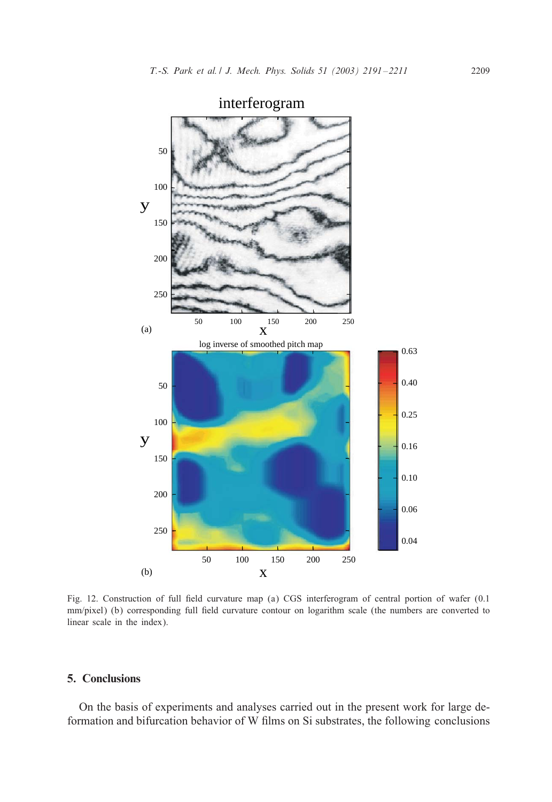<span id="page-18-0"></span>

interferogram

Fig. 12. Construction of full field curvature map (a) CGS interferogram of central portion of wafer (0.1 mm/pixel) (b) corresponding full field curvature contour on logarithm scale (the numbers are converted to linear scale in the index).

# 5. Conclusions

On the basis of experiments and analyses carried out in the present work for large deformation and bifurcation behavior of W films on Si substrates, the following conclusions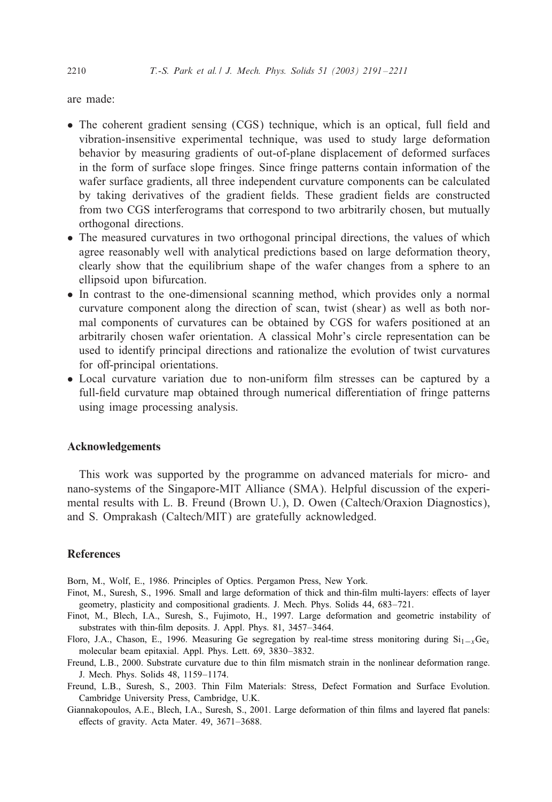<span id="page-19-0"></span>are made:

- The coherent gradient sensing  $(CGS)$  technique, which is an optical, full field and vibration-insensitive experimental technique, was used to study large deformation behavior by measuring gradients of out-of-plane displacement of deformed surfaces in the formof surface slope fringes. Since fringe patterns contain information of the wafer surface gradients, all three independent curvature components can be calculated by taking derivatives of the gradient fields. These gradient fields are constructed from two CGS interferograms that correspond to two arbitrarily chosen, but mutually orthogonal directions.
- The measured curvatures in two orthogonal principal directions, the values of which agree reasonably well with analytical predictions based on large deformation theory, clearly show that the equilibriumshape of the wafer changes froma sphere to an ellipsoid upon bifurcation.
- In contrast to the one-dimensional scanning method, which provides only a normal curvature component along the direction of scan, twist (shear) as well as both normal components of curvatures can be obtained by CGS for wafers positioned at an arbitrarily chosen wafer orientation. A classical Mohr's circle representation can be used to identify principal directions and rationalize the evolution of twist curvatures for off-principal orientations.
- Local curvature variation due to non-uniform film stresses can be captured by a full-field curvature map obtained through numerical differentiation of fringe patterns using image processing analysis.

## Acknowledgements

This work was supported by the programme on advanced materials for micro- and nano-systems of the Singapore-MIT Alliance (SMA). Helpful discussion of the experimental results with L. B. Freund (Brown U.), D. Owen (Caltech/Oraxion Diagnostics), and S. Omprakash (Caltech/MIT) are gratefully acknowledged.

# **References**

Born, M., Wolf, E., 1986. Principles of Optics. Pergamon Press, New York.

- Finot, M., Suresh, S., 1996. Small and large deformation of thick and thin-film multi-layers: effects of layer geometry, plasticity and compositional gradients. J. Mech. Phys. Solids 44, 683–721.
- Finot, M., Blech, I.A., Suresh, S., Fujimoto, H., 1997. Large deformation and geometric instability of substrates with thin-film deposits. J. Appl. Phys. 81, 3457-3464.
- Floro, J.A., Chason, E., 1996. Measuring Ge segregation by real-time stress monitoring during  $Si_{1-x}Ge_x$ molecular beam epitaxial. Appl. Phys. Lett. 69, 3830–3832.
- Freund, L.B., 2000. Substrate curvature due to thin film mismatch strain in the nonlinear deformation range. J. Mech. Phys. Solids 48, 1159–1174.
- Freund, L.B., Suresh, S., 2003. Thin Film Materials: Stress, Defect Formation and Surface Evolution. Cambridge University Press, Cambridge, U.K.
- Giannakopoulos, A.E., Blech, I.A., Suresh, S., 2001. Large deformation of thin films and layered flat panels: effects of gravity. Acta Mater.  $49$ ,  $3671-3688$ .